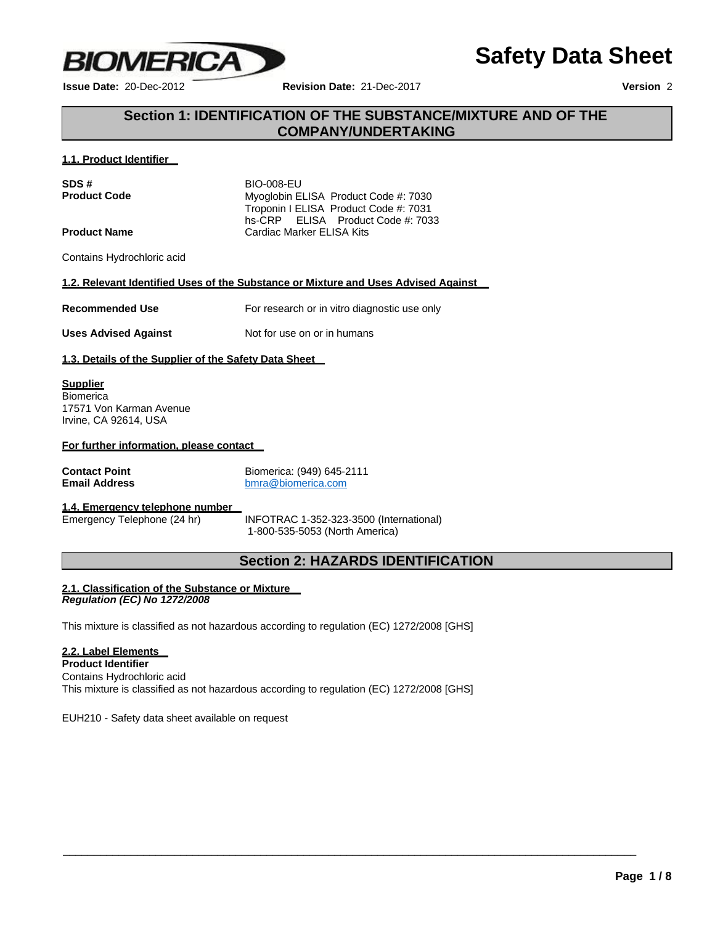

**Issue Date:** 20-Dec-2012 **Revision Date:** 21-Dec-2017 **Version** 2

**Safety Data Sheet**

# **Section 1: IDENTIFICATION OF THE SUBSTANCE/MIXTURE AND OF THE COMPANY/UNDERTAKING**

# **1.1. Product Identifier**

| SDS#                | <b>BIO-008-EU</b>                                                          |
|---------------------|----------------------------------------------------------------------------|
| <b>Product Code</b> | Myoglobin ELISA Product Code #: 7030                                       |
|                     | Troponin I ELISA Product Code #: 7031<br>hs-CRP ELISA Product Code #: 7033 |
| <b>Product Name</b> | Cardiac Marker ELISA Kits                                                  |

Contains Hydrochloric acid

# **1.2. Relevant Identified Uses of the Substance or Mixture and Uses Advised Against**

**Recommended Use** For research or in vitro diagnostic use only

**Uses Advised Against** Not for use on or in humans

# **1.3. Details of the Supplier of the Safety Data Sheet**

# **Supplier Biomerica** 17571 Von Karman Avenue

Irvine, CA 92614, USA

# **For further information, please contact**

**Contact Point**<br> **Contact Point**<br> **Contact Point**<br> **Contact Point**<br> **Contact Point**<br> **Contact Point**<br> **Contact Point**<br> **Contact Point Point Point Point Point Point Point Point Point Point Point Point Point Point Point Poin Email Address** [bmra@biomerica.com](mailto:bmra@biomerica.com)

# **1.4. Emergency telephone number**

INFOTRAC 1-352-323-3500 (International) 1-800-535-5053 (North America)

\_\_\_\_\_\_\_\_\_\_\_\_\_\_\_\_\_\_\_\_\_\_\_\_\_\_\_\_\_\_\_\_\_\_\_\_\_\_\_\_\_\_\_\_\_\_\_\_\_\_\_\_\_\_\_\_\_\_\_\_\_\_\_\_\_\_\_\_\_\_\_\_\_\_\_\_\_\_\_\_\_\_\_\_\_\_\_\_\_\_\_\_\_

# **Section 2: HAZARDS IDENTIFICATION**

#### **2.1. Classification of the Substance or Mixture** *Regulation (EC) No 1272/2008*

This mixture is classified as not hazardous according to regulation (EC) 1272/2008 [GHS]

# **2.2. Label Elements**

**Product Identifier** Contains Hydrochloric acid This mixture is classified as not hazardous according to regulation (EC) 1272/2008 [GHS]

EUH210 - Safety data sheet available on request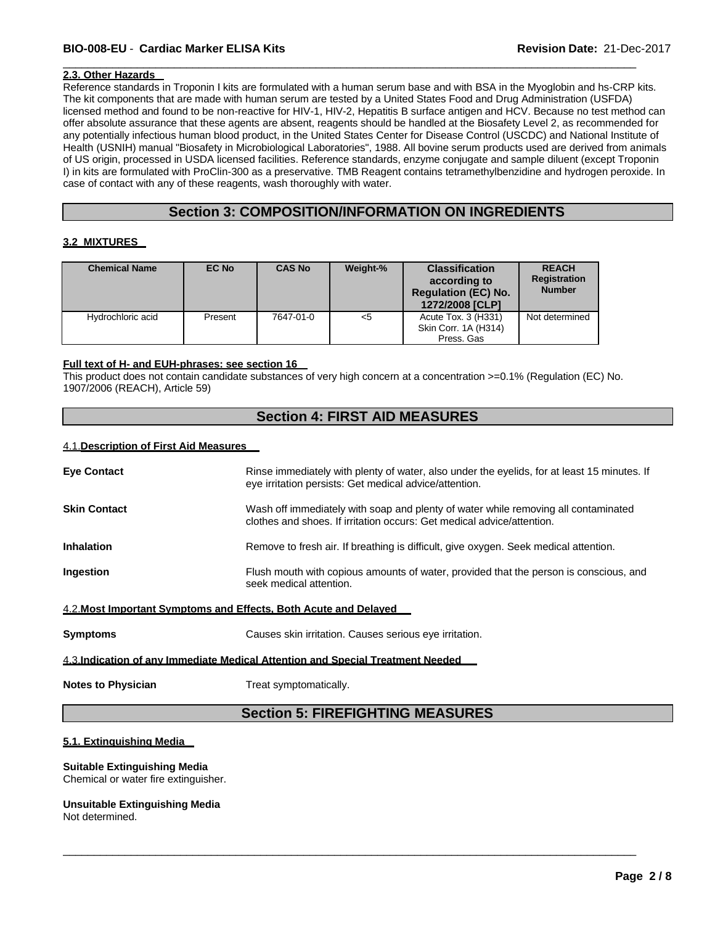# **BIO-008-EU** - **Cardiac Marker ELISA Kits Revision Date:** 21-Dec-2017

# **2.3. Other Hazards**

Reference standards in Troponin I kits are formulated with a human serum base and with BSA in the Myoglobin and hs-CRP kits. The kit components that are made with human serum are tested by a United States Food and Drug Administration (USFDA) licensed method and found to be non-reactive for HIV-1, HIV-2, Hepatitis B surface antigen and HCV. Because no test method can offer absolute assurance that these agents are absent, reagents should be handled at the Biosafety Level 2, as recommended for any potentially infectious human blood product, in the United States Center for Disease Control (USCDC) and National Institute of Health (USNIH) manual "Biosafety in Microbiological Laboratories", 1988. All bovine serum products used are derived from animals of US origin, processed in USDA licensed facilities. Reference standards, enzyme conjugate and sample diluent (except Troponin I) in kits are formulated with ProClin-300 as a preservative. TMB Reagent contains tetramethylbenzidine and hydrogen peroxide. In case of contact with any of these reagents, wash thoroughly with water.

 $\overline{\phantom{a}}$  ,  $\overline{\phantom{a}}$  ,  $\overline{\phantom{a}}$  ,  $\overline{\phantom{a}}$  ,  $\overline{\phantom{a}}$  ,  $\overline{\phantom{a}}$  ,  $\overline{\phantom{a}}$  ,  $\overline{\phantom{a}}$  ,  $\overline{\phantom{a}}$  ,  $\overline{\phantom{a}}$  ,  $\overline{\phantom{a}}$  ,  $\overline{\phantom{a}}$  ,  $\overline{\phantom{a}}$  ,  $\overline{\phantom{a}}$  ,  $\overline{\phantom{a}}$  ,  $\overline{\phantom{a}}$ 

# **Section 3: COMPOSITION/INFORMATION ON INGREDIENTS**

### **3.2 MIXTURES**

| <b>Chemical Name</b> | EC No   | <b>CAS No</b> | Weight-% | <b>Classification</b><br>according to<br><b>Regulation (EC) No.</b><br>1272/2008 [CLP] | <b>REACH</b><br><b>Registration</b><br><b>Number</b> |
|----------------------|---------|---------------|----------|----------------------------------------------------------------------------------------|------------------------------------------------------|
| Hydrochloric acid    | Present | 7647-01-0     | $<$ 5    | Acute Tox. 3 (H331)<br>Skin Corr. 1A (H314)<br>Press, Gas                              | Not determined                                       |

### **Full text of H- and EUH-phrases: see section 16**

This product does not contain candidate substances of very high concern at a concentration >=0.1% (Regulation (EC) No. 1907/2006 (REACH), Article 59)

# **Section 4: FIRST AID MEASURES**

### 4.1.**Description of First Aid Measures**

| <b>Eye Contact</b>                                                              | Rinse immediately with plenty of water, also under the eyelids, for at least 15 minutes. If<br>eye irritation persists: Get medical advice/attention.        |  |
|---------------------------------------------------------------------------------|--------------------------------------------------------------------------------------------------------------------------------------------------------------|--|
| <b>Skin Contact</b>                                                             | Wash off immediately with soap and plenty of water while removing all contaminated<br>clothes and shoes. If irritation occurs: Get medical advice/attention. |  |
| <b>Inhalation</b>                                                               | Remove to fresh air. If breathing is difficult, give oxygen. Seek medical attention.                                                                         |  |
| Ingestion                                                                       | Flush mouth with copious amounts of water, provided that the person is conscious, and<br>seek medical attention.                                             |  |
| 4.2. Most Important Symptoms and Effects, Both Acute and Delayed                |                                                                                                                                                              |  |
| <b>Symptoms</b>                                                                 | Causes skin irritation. Causes serious eye irritation.                                                                                                       |  |
| 4.3. Indication of any Immediate Medical Attention and Special Treatment Needed |                                                                                                                                                              |  |
| <b>Notes to Physician</b>                                                       | Treat symptomatically.                                                                                                                                       |  |

# **Section 5: FIREFIGHTING MEASURES**

\_\_\_\_\_\_\_\_\_\_\_\_\_\_\_\_\_\_\_\_\_\_\_\_\_\_\_\_\_\_\_\_\_\_\_\_\_\_\_\_\_\_\_\_\_\_\_\_\_\_\_\_\_\_\_\_\_\_\_\_\_\_\_\_\_\_\_\_\_\_\_\_\_\_\_\_\_\_\_\_\_\_\_\_\_\_\_\_\_\_\_\_\_

# **5.1. Extinguishing Media**

# **Suitable Extinguishing Media**

Chemical or water fire extinguisher.

# **Unsuitable Extinguishing Media**

Not determined.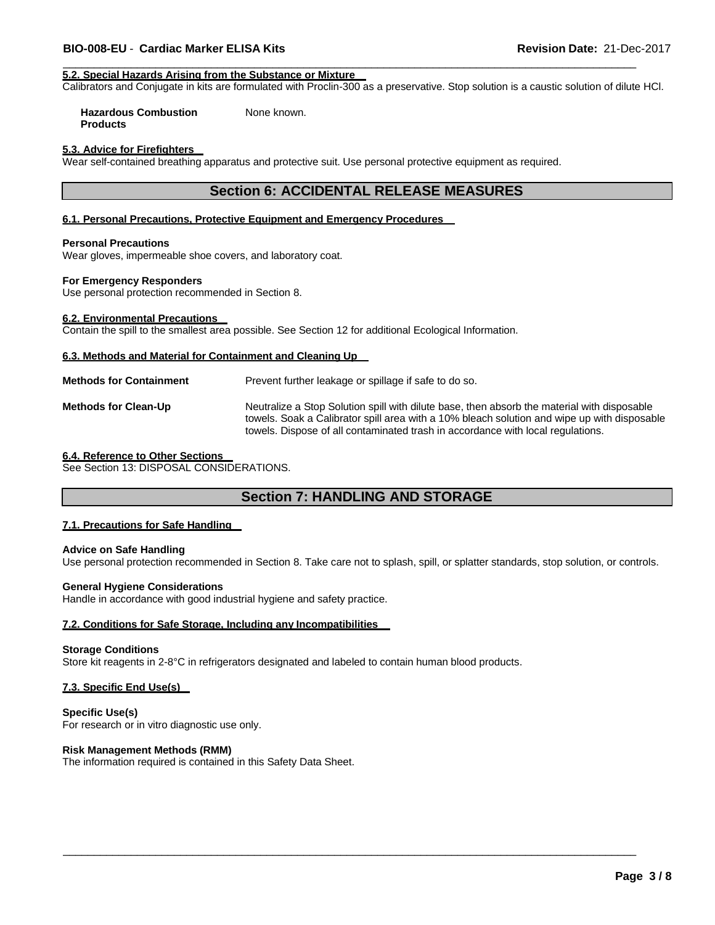### **5.2. Special Hazards Arising from the Substance or Mixture**

Calibrators and Conjugate in kits are formulated with Proclin-300 as a preservative. Stop solution is a caustic solution of dilute HCl.

 $\overline{\phantom{a}}$  ,  $\overline{\phantom{a}}$  ,  $\overline{\phantom{a}}$  ,  $\overline{\phantom{a}}$  ,  $\overline{\phantom{a}}$  ,  $\overline{\phantom{a}}$  ,  $\overline{\phantom{a}}$  ,  $\overline{\phantom{a}}$  ,  $\overline{\phantom{a}}$  ,  $\overline{\phantom{a}}$  ,  $\overline{\phantom{a}}$  ,  $\overline{\phantom{a}}$  ,  $\overline{\phantom{a}}$  ,  $\overline{\phantom{a}}$  ,  $\overline{\phantom{a}}$  ,  $\overline{\phantom{a}}$ 

**Hazardous Combustion Products** None known.

### **5.3. Advice for Firefighters**

Wear self-contained breathing apparatus and protective suit. Use personal protective equipment as required.

# **Section 6: ACCIDENTAL RELEASE MEASURES**

# **6.1. Personal Precautions, Protective Equipment and Emergency Procedures**

#### **Personal Precautions**

Wear gloves, impermeable shoe covers, and laboratory coat.

#### **For Emergency Responders**

Use personal protection recommended in Section 8.

### **6.2. Environmental Precautions**

Contain the spill to the smallest area possible. See Section 12 for additional Ecological Information.

# **6.3. Methods and Material for Containment and Cleaning Up**

| <b>Methods for Containment</b> | Prevent further leakage or spillage if safe to do so.                                                                                                                                                                                                                         |
|--------------------------------|-------------------------------------------------------------------------------------------------------------------------------------------------------------------------------------------------------------------------------------------------------------------------------|
| <b>Methods for Clean-Up</b>    | Neutralize a Stop Solution spill with dilute base, then absorb the material with disposable<br>towels. Soak a Calibrator spill area with a 10% bleach solution and wipe up with disposable<br>towels. Dispose of all contaminated trash in accordance with local regulations. |

### **6.4. Reference to Other Sections**

See Section 13: DISPOSAL CONSIDERATIONS.

# **Section 7: HANDLING AND STORAGE**

#### **7.1. Precautions for Safe Handling**

### **Advice on Safe Handling**

Use personal protection recommended in Section 8. Take care not to splash, spill, or splatter standards, stop solution, or controls.

\_\_\_\_\_\_\_\_\_\_\_\_\_\_\_\_\_\_\_\_\_\_\_\_\_\_\_\_\_\_\_\_\_\_\_\_\_\_\_\_\_\_\_\_\_\_\_\_\_\_\_\_\_\_\_\_\_\_\_\_\_\_\_\_\_\_\_\_\_\_\_\_\_\_\_\_\_\_\_\_\_\_\_\_\_\_\_\_\_\_\_\_\_

#### **General Hygiene Considerations**

Handle in accordance with good industrial hygiene and safety practice.

### **7.2. Conditions for Safe Storage, Including any Incompatibilities**

#### **Storage Conditions**

Store kit reagents in 2-8°C in refrigerators designated and labeled to contain human blood products.

# **7.3. Specific End Use(s)**

**Specific Use(s)** For research or in vitro diagnostic use only.

# **Risk Management Methods (RMM)**

The information required is contained in this Safety Data Sheet.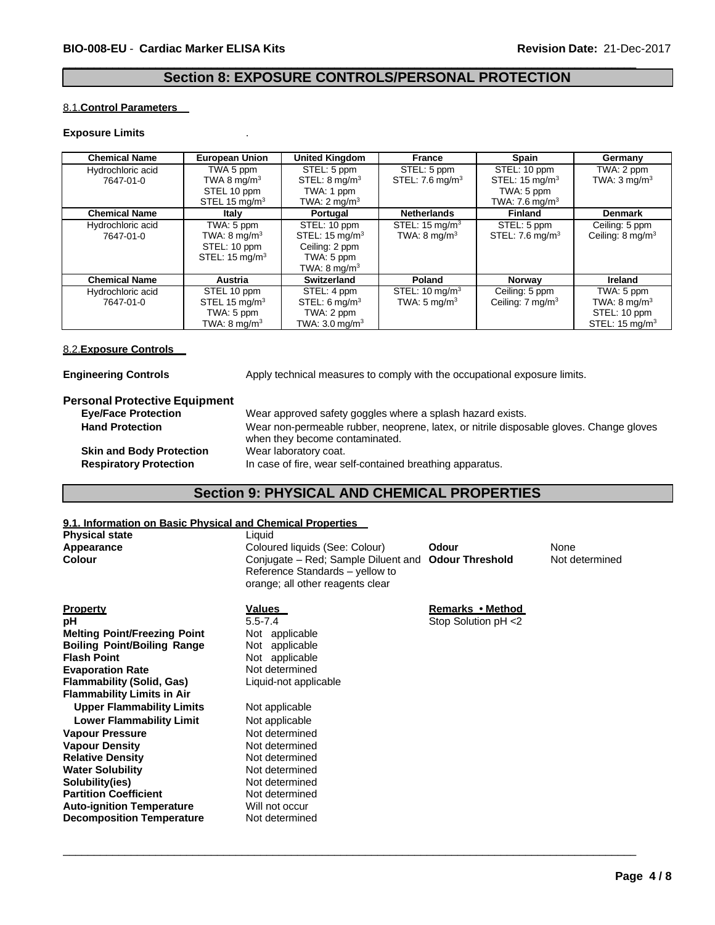# **Section 8: EXPOSURE CONTROLS/PERSONAL PROTECTION**

 $\overline{\phantom{a}}$  ,  $\overline{\phantom{a}}$  ,  $\overline{\phantom{a}}$  ,  $\overline{\phantom{a}}$  ,  $\overline{\phantom{a}}$  ,  $\overline{\phantom{a}}$  ,  $\overline{\phantom{a}}$  ,  $\overline{\phantom{a}}$  ,  $\overline{\phantom{a}}$  ,  $\overline{\phantom{a}}$  ,  $\overline{\phantom{a}}$  ,  $\overline{\phantom{a}}$  ,  $\overline{\phantom{a}}$  ,  $\overline{\phantom{a}}$  ,  $\overline{\phantom{a}}$  ,  $\overline{\phantom{a}}$ 

### 8.1.**Control Parameters**

### **Exposure Limits** .

| <b>Chemical Name</b> | <b>European Union</b>     | <b>United Kingdom</b>     | France                     | <b>Spain</b>                 | Germany                     |
|----------------------|---------------------------|---------------------------|----------------------------|------------------------------|-----------------------------|
| Hydrochloric acid    | TWA 5 ppm                 | STEL: 5 ppm               | STEL: 5 ppm                | STEL: 10 ppm                 | TWA: 2 ppm                  |
| 7647-01-0            | TWA 8 mg/m <sup>3</sup>   | STEL: $8 \text{ mq/m}^3$  | STEL: $7.6 \text{ mg/m}^3$ | STEL: $15 \text{ mg/m}^3$    | TWA: $3 \text{mq/m}^3$      |
|                      | STEL 10 ppm               | TWA: 1 ppm                |                            | TWA: 5 ppm                   |                             |
|                      | STEL 15 mg/m <sup>3</sup> | TWA: $2 \text{ mq/m}^3$   |                            | TWA: $7.6$ mg/m <sup>3</sup> |                             |
| <b>Chemical Name</b> | Italy                     | Portugal                  | <b>Netherlands</b>         | <b>Finland</b>               | <b>Denmark</b>              |
| Hydrochloric acid    | TWA: 5 ppm                | STEL: 10 ppm              | STEL: $15 \text{ mg/m}^3$  | STEL: 5 ppm                  | Ceiling: 5 ppm              |
| 7647-01-0            | TWA: $8 \text{ mg/m}^3$   | STEL: $15 \text{ mg/m}^3$ | TWA: $8 \text{ mg/m}^3$    | STEL: $7.6 \text{ mg/m}^3$   | Ceiling: $8 \text{ mg/m}^3$ |
|                      | STEL: 10 ppm              | Ceiling: 2 ppm            |                            |                              |                             |
|                      | STEL: $15 \text{ mg/m}^3$ | TWA: 5 ppm                |                            |                              |                             |
|                      |                           | TWA: $8 \text{ mg/m}^3$   |                            |                              |                             |
| <b>Chemical Name</b> | <b>Austria</b>            | <b>Switzerland</b>        | Poland                     | Norway                       | Ireland                     |
| Hydrochloric acid    | STEL 10 ppm               | STEL: 4 ppm               | STEL: $10 \text{ mg/m}^3$  | Ceiling: 5 ppm               | TWA: 5 ppm                  |
| 7647-01-0            | STEL 15 $mq/m3$           | STEL: $6 \text{ mq/m}^3$  | TWA: $5 \text{ ma/m}^3$    | Ceiling: $7 \text{ mg/m}^3$  | TWA: $8 \text{ mg/m}^3$     |
|                      | TWA: 5 ppm                | TWA: 2 ppm                |                            |                              | STEL: 10 ppm                |
|                      | TWA: $8 \text{ mg/m}^3$   | TWA: $3.0 \text{ ma/m}^3$ |                            |                              | STEL: $15 \text{ mg/m}^3$   |

# 8.2.**Exposure Controls**

| <b>Engineering Controls</b> |  |
|-----------------------------|--|
|                             |  |

gineering **Controls Engineering** Controls **Apply technical measures to comply with the occupational exposure limits.** 

# **Personal Protective Equipment**

| <b>Eve/Face Protection</b>      | Wear approved safety goggles where a splash hazard exists.                              |
|---------------------------------|-----------------------------------------------------------------------------------------|
| <b>Hand Protection</b>          | Wear non-permeable rubber, neoprene, latex, or nitrile disposable gloves. Change gloves |
|                                 | when they become contaminated.                                                          |
| <b>Skin and Body Protection</b> | Wear laboratory coat.                                                                   |
| <b>Respiratory Protection</b>   | In case of fire, wear self-contained breathing apparatus.                               |

# **Section 9: PHYSICAL AND CHEMICAL PROPERTIES**

# **9.1. Information on Basic Physical and Chemical Properties**

| Coloured liquids (See: Colour)<br>Odour<br>None<br>Appearance<br><b>Colour</b><br><b>Odour Threshold</b><br>Conjugate – Red; Sample Diluent and<br>Not determined<br>Reference Standards - yellow to<br>orange; all other reagents clear<br>Property<br>Remarks • Method<br><u>Values</u><br>$5.5 - 7.4$<br>Stop Solution pH <2<br>рH<br><b>Melting Point/Freezing Point</b><br>Not applicable |
|------------------------------------------------------------------------------------------------------------------------------------------------------------------------------------------------------------------------------------------------------------------------------------------------------------------------------------------------------------------------------------------------|
|                                                                                                                                                                                                                                                                                                                                                                                                |
|                                                                                                                                                                                                                                                                                                                                                                                                |
|                                                                                                                                                                                                                                                                                                                                                                                                |
|                                                                                                                                                                                                                                                                                                                                                                                                |
| <b>Boiling Point/Boiling Range</b><br>Not applicable                                                                                                                                                                                                                                                                                                                                           |
| <b>Flash Point</b><br>Not applicable                                                                                                                                                                                                                                                                                                                                                           |
| Not determined<br><b>Evaporation Rate</b>                                                                                                                                                                                                                                                                                                                                                      |
| <b>Flammability (Solid, Gas)</b><br>Liquid-not applicable                                                                                                                                                                                                                                                                                                                                      |
| <b>Flammability Limits in Air</b>                                                                                                                                                                                                                                                                                                                                                              |
| <b>Upper Flammability Limits</b><br>Not applicable                                                                                                                                                                                                                                                                                                                                             |
| <b>Lower Flammability Limit</b><br>Not applicable                                                                                                                                                                                                                                                                                                                                              |
| Not determined<br><b>Vapour Pressure</b>                                                                                                                                                                                                                                                                                                                                                       |
| <b>Vapour Density</b><br>Not determined                                                                                                                                                                                                                                                                                                                                                        |
| <b>Relative Density</b><br>Not determined                                                                                                                                                                                                                                                                                                                                                      |
| <b>Water Solubility</b><br>Not determined                                                                                                                                                                                                                                                                                                                                                      |
| Solubility(ies)<br>Not determined                                                                                                                                                                                                                                                                                                                                                              |
| <b>Partition Coefficient</b><br>Not determined                                                                                                                                                                                                                                                                                                                                                 |
| <b>Auto-ignition Temperature</b><br>Will not occur                                                                                                                                                                                                                                                                                                                                             |
| <b>Decomposition Temperature</b><br>Not determined                                                                                                                                                                                                                                                                                                                                             |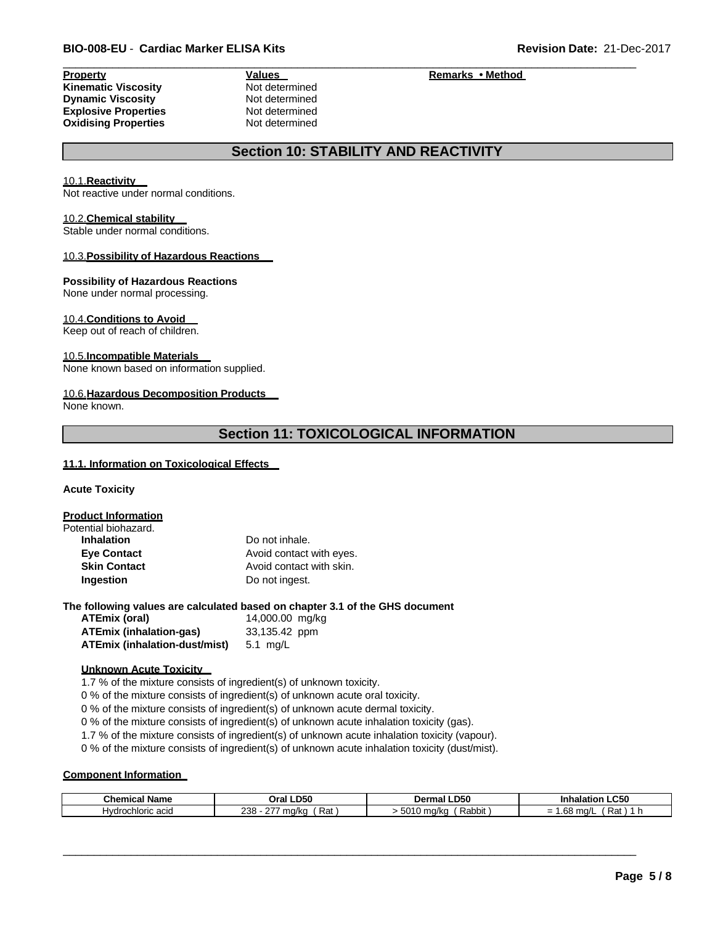# **Kinematic Viscosity** Not determined **Dynamic Viscosity** Not determined **Explosive Properties** Not determined **Oxidising Properties** Not determined

# **Property Values Values Remarks • Method**

# **Section 10: STABILITY AND REACTIVITY**

 $\overline{\phantom{a}}$  ,  $\overline{\phantom{a}}$  ,  $\overline{\phantom{a}}$  ,  $\overline{\phantom{a}}$  ,  $\overline{\phantom{a}}$  ,  $\overline{\phantom{a}}$  ,  $\overline{\phantom{a}}$  ,  $\overline{\phantom{a}}$  ,  $\overline{\phantom{a}}$  ,  $\overline{\phantom{a}}$  ,  $\overline{\phantom{a}}$  ,  $\overline{\phantom{a}}$  ,  $\overline{\phantom{a}}$  ,  $\overline{\phantom{a}}$  ,  $\overline{\phantom{a}}$  ,  $\overline{\phantom{a}}$ 

### 10.1.**Reactivity**

Not reactive under normal conditions.

#### 10.2.**Chemical stability**

Stable under normal conditions.

### 10.3.**Possibility of Hazardous Reactions**

#### **Possibility of Hazardous Reactions**

None under normal processing.

### 10.4.**Conditions to Avoid**

Keep out of reach of children.

# 10.5.**Incompatible Materials**

None known based on information supplied.

#### 10.6.**Hazardous Decomposition Products**

None known.

# **Section 11: TOXICOLOGICAL INFORMATION**

### **11.1. Information on Toxicological Effects**

**Acute Toxicity**

**Product Information** Pot

| tential biohazard.  |                          |
|---------------------|--------------------------|
| <b>Inhalation</b>   | Do not inhale.           |
| <b>Eye Contact</b>  | Avoid contact with eyes. |
| <b>Skin Contact</b> | Avoid contact with skin. |
| Ingestion           | Do not ingest.           |
|                     |                          |

### **The following values are calculated based on chapter 3.1 of the GHS document**

| ATEmix (oral)                  | 14,000.00 mg/kg |
|--------------------------------|-----------------|
| <b>ATEmix (inhalation-gas)</b> | 33,135.42 ppm   |
| ATEmix (inhalation-dust/mist)  | 5.1 mg/L        |

### **Unknown Acute Toxicity**

1.7 % of the mixture consists of ingredient(s) of unknown toxicity.

0 % of the mixture consists of ingredient(s) of unknown acute oral toxicity.

0 % of the mixture consists of ingredient(s) of unknown acute dermal toxicity.

0 % of the mixture consists of ingredient(s) of unknown acute inhalation toxicity (gas).

1.7 % of the mixture consists of ingredient(s) of unknown acute inhalation toxicity (vapour).

0 % of the mixture consists of ingredient(s) of unknown acute inhalation toxicity (dust/mist).

# **Component Information**

| Chemical<br>Name                          | <b>LD50</b><br>Oral                                   | האם ו<br><b>Jerma</b><br>LDJU<br>тпа | ∟C50<br>Inhalation          |
|-------------------------------------------|-------------------------------------------------------|--------------------------------------|-----------------------------|
| ; acıd<br>'dro<br>trochloric<br>. .<br>┓ѵ | າາວ<br>$\sim$<br>$m$ $a$ ll $c$<br>V KL<br>nai<br>∠ບປ | 5010<br>Rabbit<br>ma/kc              | .<br>ma/L<br>na<br>-<br>ں . |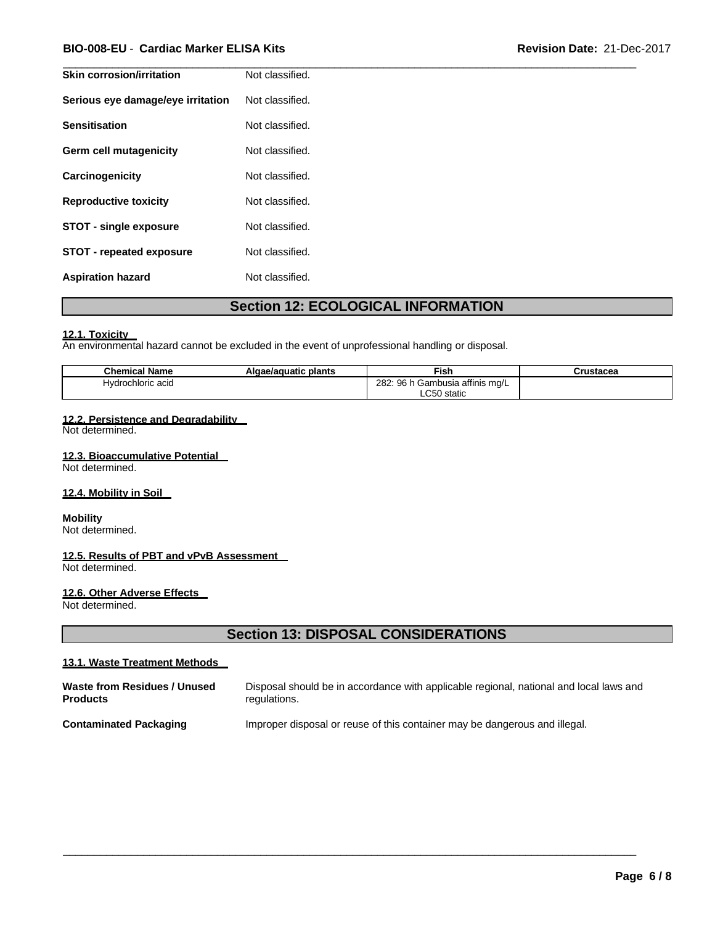# **BIO-008-EU** - **Cardiac Marker ELISA Kits Revision Date:** 21-Dec-2017

| Skin corrosion/irritation         | Not classified. |
|-----------------------------------|-----------------|
| Serious eye damage/eye irritation | Not classified. |
| <b>Sensitisation</b>              | Not classified. |
| Germ cell mutagenicity            | Not classified. |
| Carcinogenicity                   | Not classified. |
| <b>Reproductive toxicity</b>      | Not classified. |
| <b>STOT - single exposure</b>     | Not classified. |
| STOT - repeated exposure          | Not classified. |
| <b>Aspiration hazard</b>          | Not classified. |

 $\overline{\phantom{a}}$  ,  $\overline{\phantom{a}}$  ,  $\overline{\phantom{a}}$  ,  $\overline{\phantom{a}}$  ,  $\overline{\phantom{a}}$  ,  $\overline{\phantom{a}}$  ,  $\overline{\phantom{a}}$  ,  $\overline{\phantom{a}}$  ,  $\overline{\phantom{a}}$  ,  $\overline{\phantom{a}}$  ,  $\overline{\phantom{a}}$  ,  $\overline{\phantom{a}}$  ,  $\overline{\phantom{a}}$  ,  $\overline{\phantom{a}}$  ,  $\overline{\phantom{a}}$  ,  $\overline{\phantom{a}}$ 

# **Section 12: ECOLOGICAL INFORMATION**

### **12.1. Toxicity**

An environmental hazard cannot be excluded in the event of unprofessional handling or disposal.

| . .<br><b>Nam</b><br>hemical      | plants<br>uatıc | <u>Fish</u>                                                                       | <br>auca |
|-----------------------------------|-----------------|-----------------------------------------------------------------------------------|----------|
| :hloric<br>ว acıฉ<br>$\mathbf{M}$ |                 | <br>282.<br>nG<br>mbusia affinis mg/L<br>. . om<br>Jdl<br>IJU.<br>$\cdot$ $\cdot$ |          |
|                                   |                 | $\sim$ $\sim$ $\sim$<br><b>7ιαιι</b> υ                                            |          |

### **12.2. Persistence and Degradability**

Not determined.

### **12.3. Bioaccumulative Potential**

Not determined.

# **12.4. Mobility in Soil**

# **Mobility**

Not determined.

# **12.5. Results of PBT and vPvB Assessment**

Not determined.

# **12.6. Other Adverse Effects**

Not determined.

# **Section 13: DISPOSAL CONSIDERATIONS**

# **13.1. Waste Treatment Methods**

| Waste from Residues / Unused  | Disposal should be in accordance with applicable regional, national and local laws and |
|-------------------------------|----------------------------------------------------------------------------------------|
| <b>Products</b>               | regulations.                                                                           |
| <b>Contaminated Packaging</b> | Improper disposal or reuse of this container may be dangerous and illegal.             |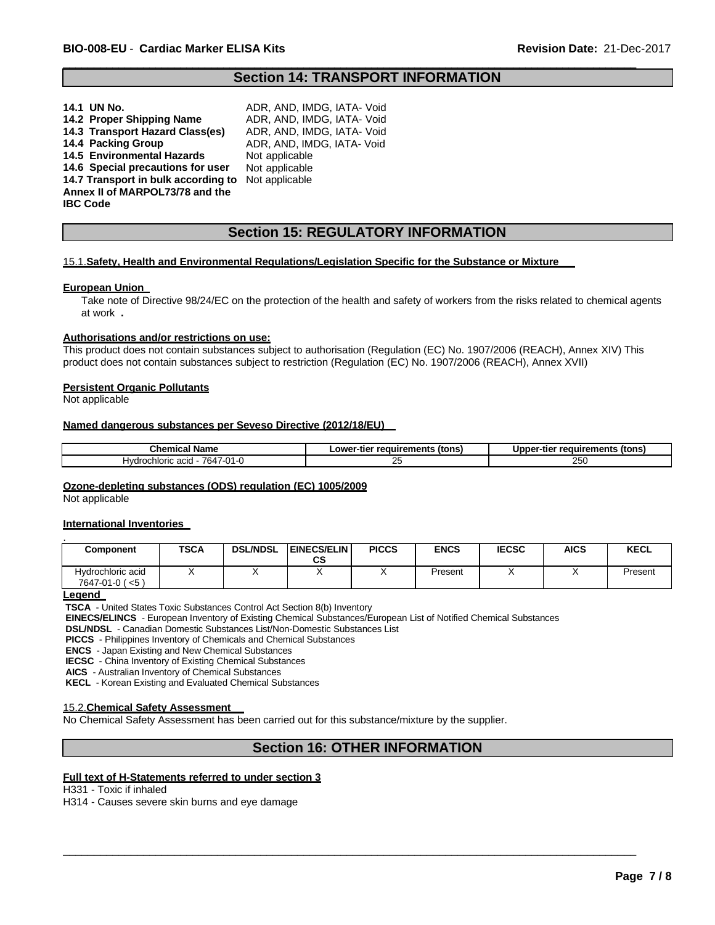# **Section 14: TRANSPORT INFORMATION**

 $\overline{\phantom{a}}$  ,  $\overline{\phantom{a}}$  ,  $\overline{\phantom{a}}$  ,  $\overline{\phantom{a}}$  ,  $\overline{\phantom{a}}$  ,  $\overline{\phantom{a}}$  ,  $\overline{\phantom{a}}$  ,  $\overline{\phantom{a}}$  ,  $\overline{\phantom{a}}$  ,  $\overline{\phantom{a}}$  ,  $\overline{\phantom{a}}$  ,  $\overline{\phantom{a}}$  ,  $\overline{\phantom{a}}$  ,  $\overline{\phantom{a}}$  ,  $\overline{\phantom{a}}$  ,  $\overline{\phantom{a}}$ 

| 14.1 UN No.                         | ADR. AND. IMDG. IATA- Void |
|-------------------------------------|----------------------------|
| 14.2 Proper Shipping Name           | ADR, AND, IMDG, IATA- Void |
| 14.3 Transport Hazard Class(es)     | ADR, AND, IMDG, IATA- Void |
| 14.4 Packing Group                  | ADR. AND. IMDG. IATA- Void |
| <b>14.5 Environmental Hazards</b>   | Not applicable             |
| 14.6 Special precautions for user   | Not applicable             |
| 14.7 Transport in bulk according to | Not applicable             |
| Annex II of MARPOL73/78 and the     |                            |
| <b>IBC Code</b>                     |                            |
|                                     |                            |

# **Section 15: REGULATORY INFORMATION**

#### 15.1.**Safety, Health and Environmental Regulations/Legislation Specific for the Substance or Mixture**

#### **European Union**

Take note of Directive 98/24/EC on the protection of the health and safety of workers from the risks related to chemical agents at work **.**

#### **Authorisations and/or restrictions on use:**

This product does not contain substances subject to authorisation (Regulation (EC) No. 1907/2006 (REACH), Annex XIV) This product does not contain substances subject to restriction (Regulation (EC) No. 1907/2006 (REACH), Annex XVII)

#### **Persistent Organic Pollutants**

Not applicable

### **Named dangerous substances per Seveso Directive (2012/18/EU)**

| Chemical<br>⊺Name                                                 | ∵-tier reauirements<br>tons)<br>.owc<br>. | (tons<br>∵reauırements<br>.<br>-tıe<br>unnei |  |  |
|-------------------------------------------------------------------|-------------------------------------------|----------------------------------------------|--|--|
| $\overline{a}$<br>764.<br>chloric acid<br><b>Hvdroch</b><br>U I - | -<br>∼                                    | $\sim$ $\sim$ $\sim$<br>. אל<br>້            |  |  |

#### **Ozone-depleting substances (ODS) regulation (EC) 1005/2009**

Not applicable

#### **International Inventories**

| Component         | TSCA | <b>DSL/NDSL</b> | <b>EINECS/ELIN</b> | <b>PICCS</b> | <b>ENCS</b> | <b>IECSC</b> | AICS | <b>KECL</b> |
|-------------------|------|-----------------|--------------------|--------------|-------------|--------------|------|-------------|
|                   |      |                 | СS                 |              |             |              |      |             |
| Hydrochloric acid |      |                 |                    |              | Present     |              |      | Present     |
| 7647-01-0 (<5)    |      |                 |                    |              |             |              |      |             |

**Legend** 

**TSCA** - United States Toxic Substances Control Act Section 8(b) Inventory

**EINECS/ELINCS** - European Inventory of Existing Chemical Substances/European List of Notified Chemical Substances

**DSL/NDSL** - Canadian Domestic Substances List/Non-Domestic Substances List

**PICCS** - Philippines Inventory of Chemicals and Chemical Substances

**ENCS** - Japan Existing and New Chemical Substances

**IECSC** - China Inventory of Existing Chemical Substances

**AICS** - Australian Inventory of Chemical Substances

**KECL** - Korean Existing and Evaluated Chemical Substances

#### 15.2.**Chemical Safety Assessment**

No Chemical Safety Assessment has been carried out for this substance/mixture by the supplier.

# **Section 16: OTHER INFORMATION**

\_\_\_\_\_\_\_\_\_\_\_\_\_\_\_\_\_\_\_\_\_\_\_\_\_\_\_\_\_\_\_\_\_\_\_\_\_\_\_\_\_\_\_\_\_\_\_\_\_\_\_\_\_\_\_\_\_\_\_\_\_\_\_\_\_\_\_\_\_\_\_\_\_\_\_\_\_\_\_\_\_\_\_\_\_\_\_\_\_\_\_\_\_

# **Full text of H-Statements referred to under section 3**

H331 - Toxic if inhaled

H314 - Causes severe skin burns and eye damage